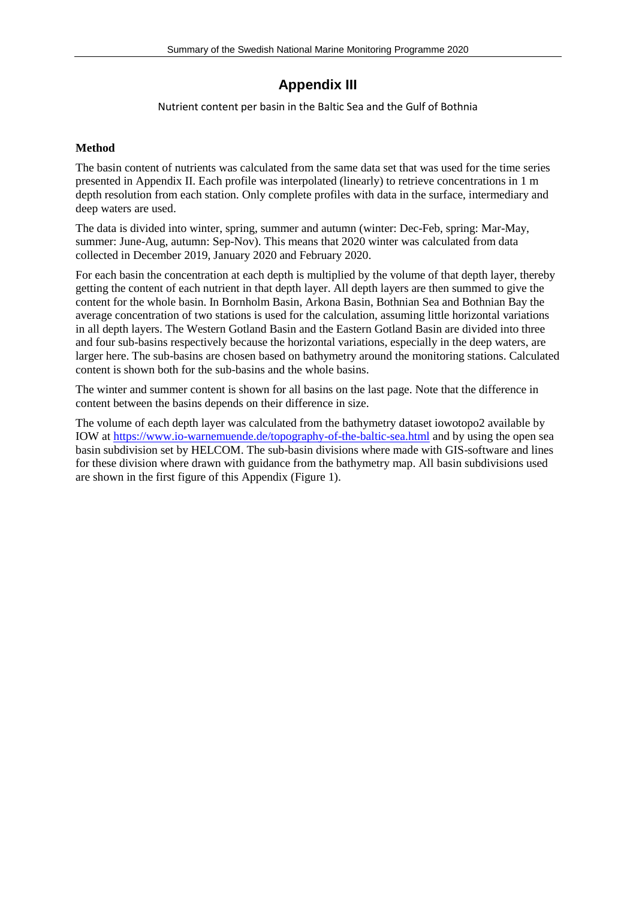#### **Appendix III**

Nutrient content per basin in the Baltic Sea and the Gulf of Bothnia

#### **Method**

The basin content of nutrients was calculated from the same data set that was used for the time series presented in Appendix II. Each profile was interpolated (linearly) to retrieve concentrations in 1 m depth resolution from each station. Only complete profiles with data in the surface, intermediary and deep waters are used.

The data is divided into winter, spring, summer and autumn (winter: Dec-Feb, spring: Mar-May, summer: June-Aug, autumn: Sep-Nov). This means that 2020 winter was calculated from data collected in December 2019, January 2020 and February 2020.

For each basin the concentration at each depth is multiplied by the volume of that depth layer, thereby getting the content of each nutrient in that depth layer. All depth layers are then summed to give the content for the whole basin. In Bornholm Basin, Arkona Basin, Bothnian Sea and Bothnian Bay the average concentration of two stations is used for the calculation, assuming little horizontal variations in all depth layers. The Western Gotland Basin and the Eastern Gotland Basin are divided into three and four sub-basins respectively because the horizontal variations, especially in the deep waters, are larger here. The sub-basins are chosen based on bathymetry around the monitoring stations. Calculated content is shown both for the sub-basins and the whole basins.

The winter and summer content is shown for all basins on the last page. Note that the difference in content between the basins depends on their difference in size.

The volume of each depth layer was calculated from the bathymetry dataset iowotopo2 available by IOW at<https://www.io-warnemuende.de/topography-of-the-baltic-sea.html> and by using the open sea basin subdivision set by HELCOM. The sub-basin divisions where made with GIS-software and lines for these division where drawn with guidance from the bathymetry map. All basin subdivisions used are shown in the first figure of this Appendix [\(Figure](#page-1-0) 1).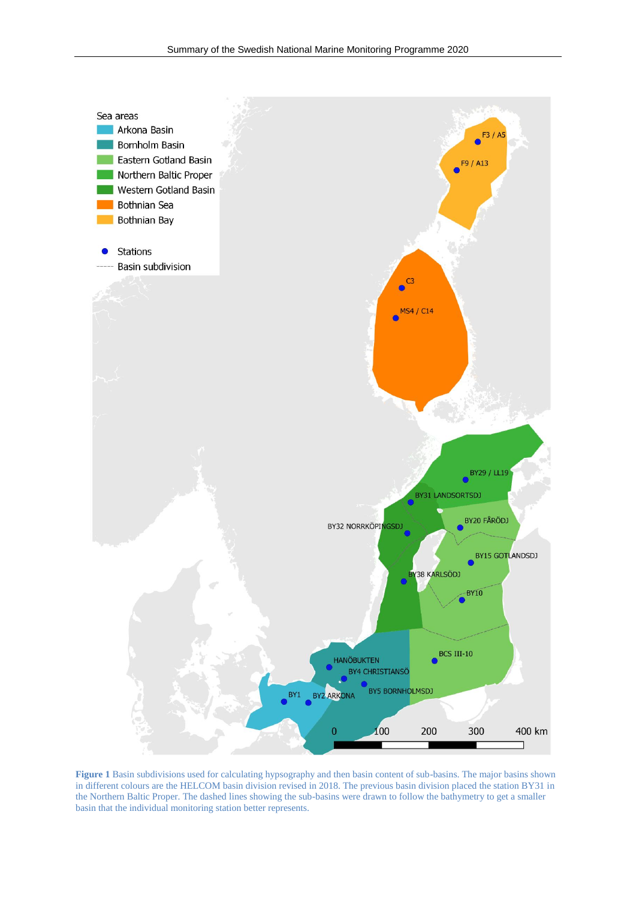

<span id="page-1-0"></span>**Figure 1** Basin subdivisions used for calculating hypsography and then basin content of sub-basins. The major basins shown in different colours are the HELCOM basin division revised in 2018. The previous basin division placed the station BY31 in the Northern Baltic Proper. The dashed lines showing the sub-basins were drawn to follow the bathymetry to get a smaller basin that the individual monitoring station better represents.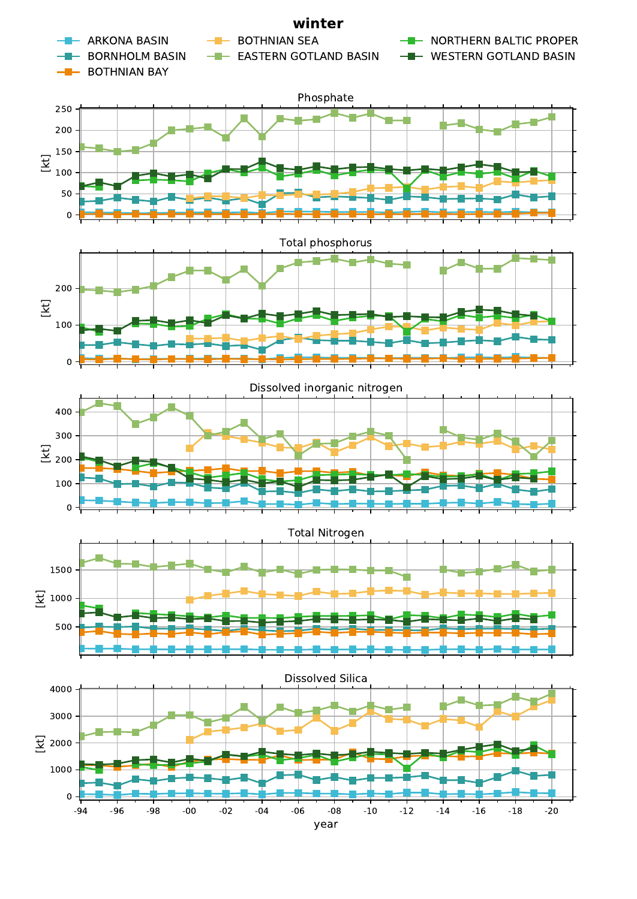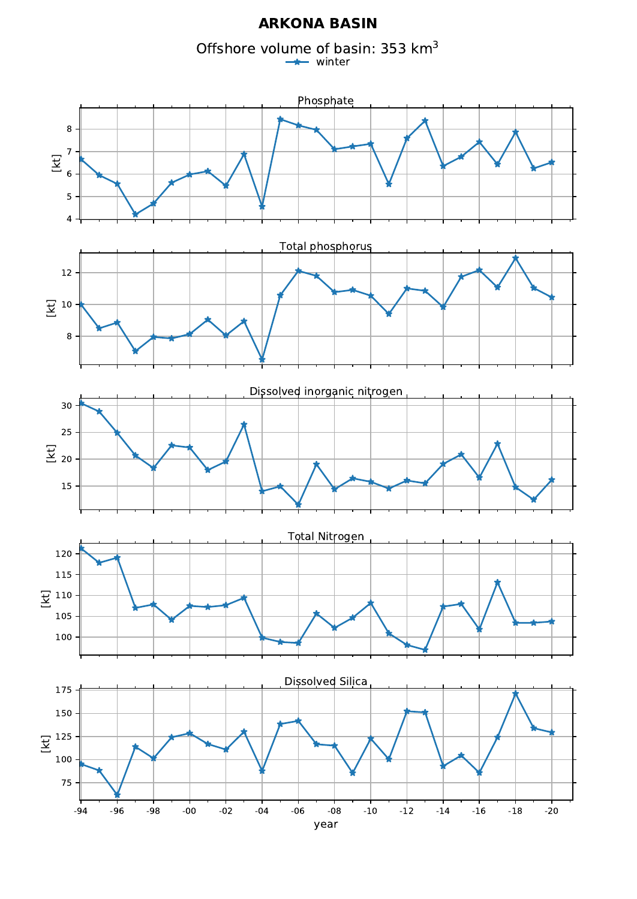#### **ARKONA BASIN**

Offshore volume of basin: 353 km<sup>3</sup> winter

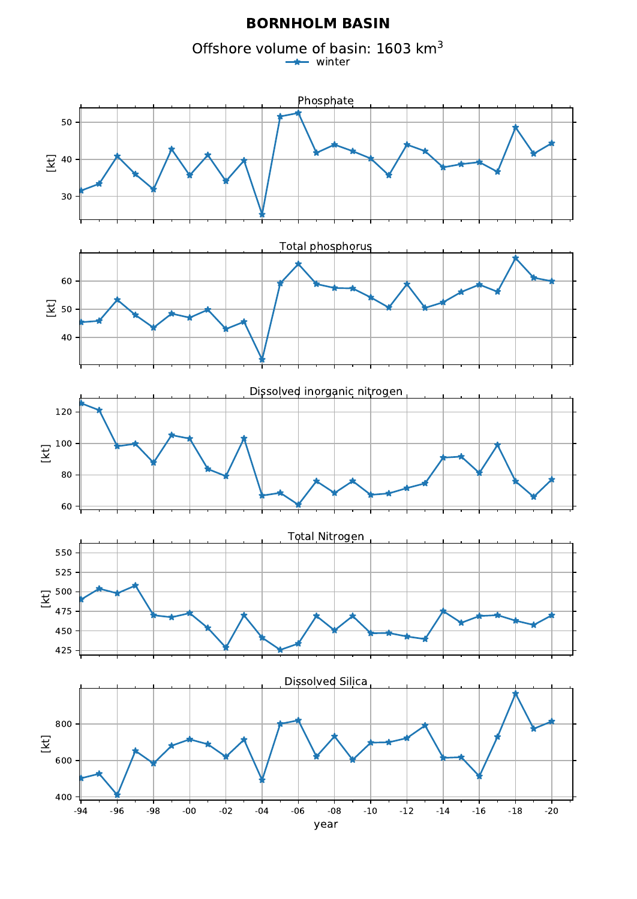#### **BORNHOLM BASIN**

Offshore volume of basin: 1603 km<sup>3</sup> winter

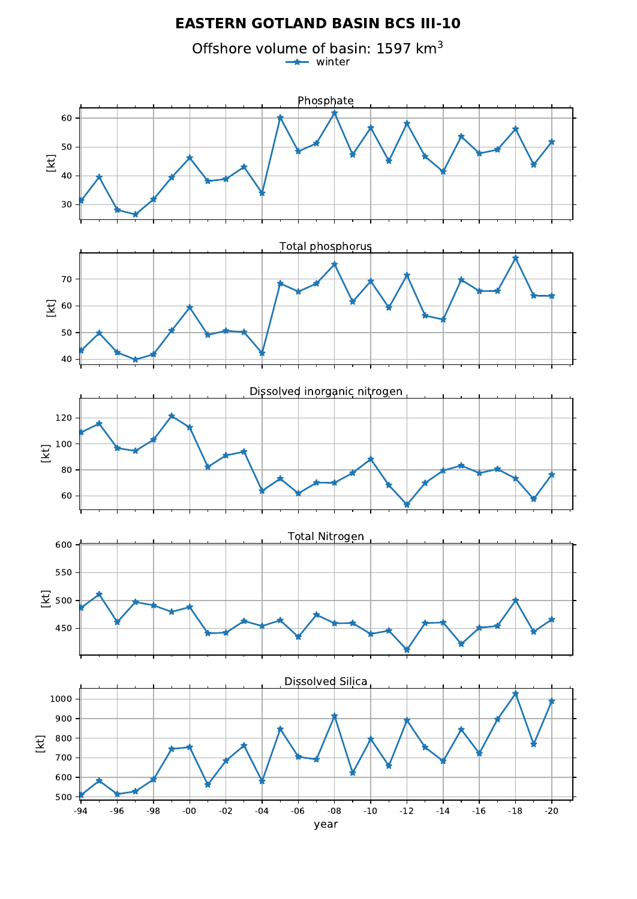# **EASTERN GOTLAND BASIN BCS III-10**

Offshore volume of basin: 1597 km<sup>3</sup> winter

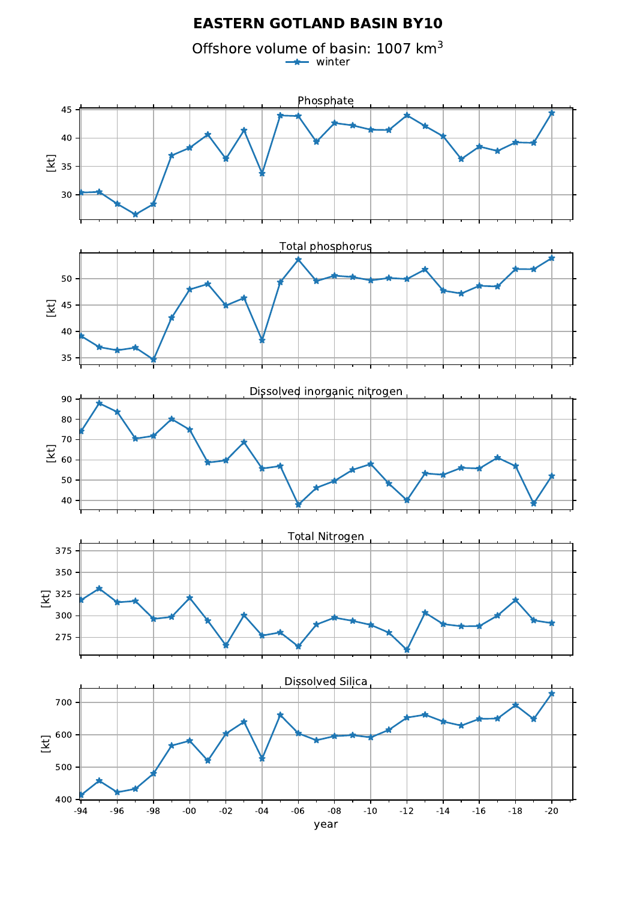# **EASTERN GOTLAND BASIN BY10**

Offshore volume of basin: 1007 km<sup>3</sup> winter

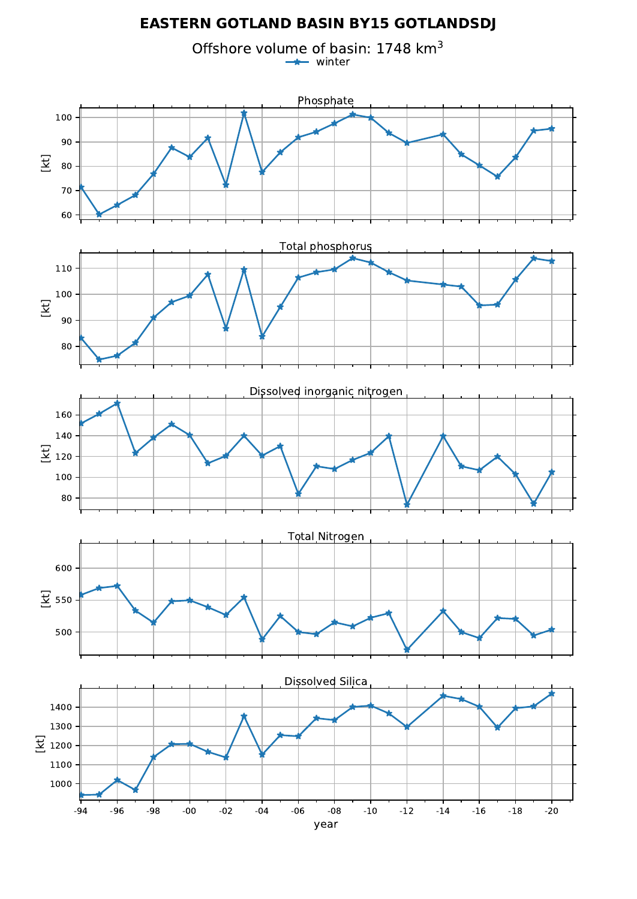# **EASTERN GOTLAND BASIN BY15 GOTLANDSDJ**

Offshore volume of basin: 1748 km<sup>3</sup> winter

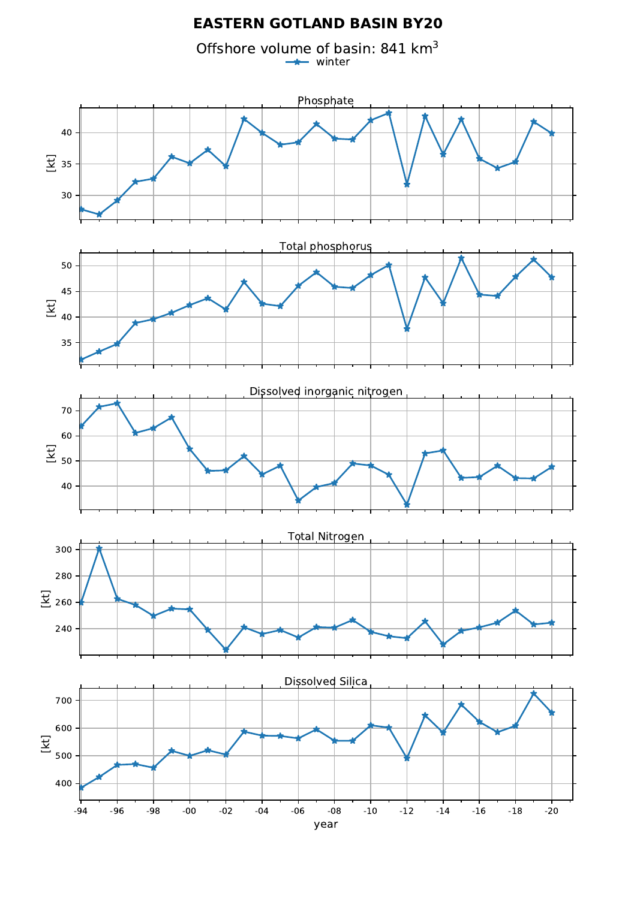# **EASTERN GOTLAND BASIN BY20**

Offshore volume of basin: 841 km $^3$ winter

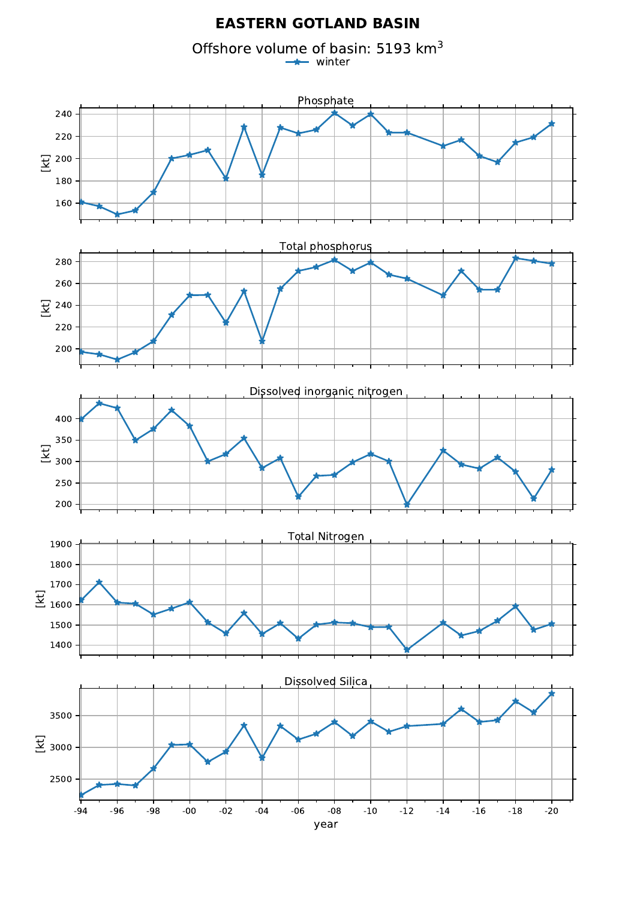#### **EASTERN GOTLAND BASIN**

Offshore volume of basin: 5193 km<sup>3</sup> winter $\rightarrow$ 

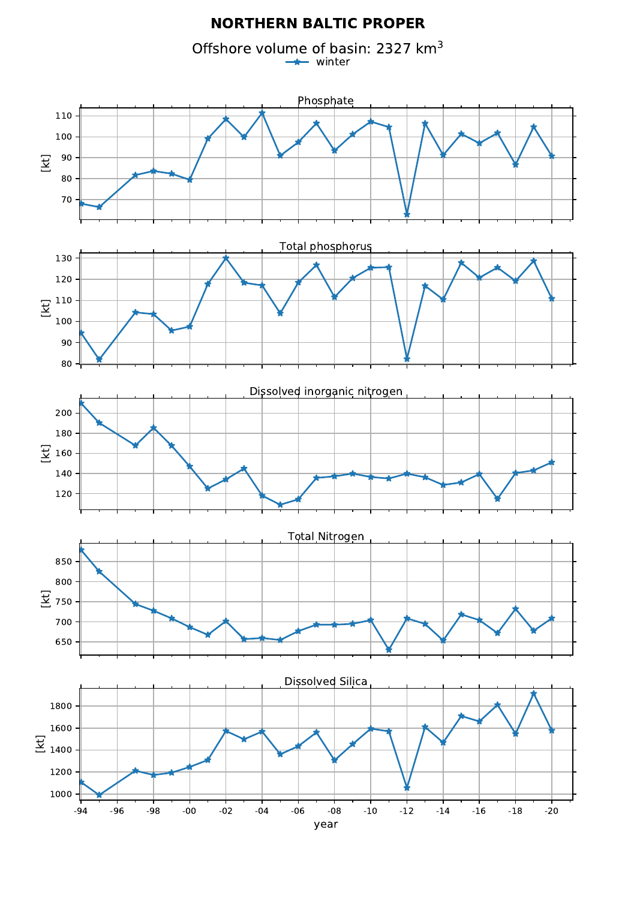### **NORTHERN BALTIC PROPER**

Offshore volume of basin: 2327 km<sup>3</sup> winter $\rightarrow$ 

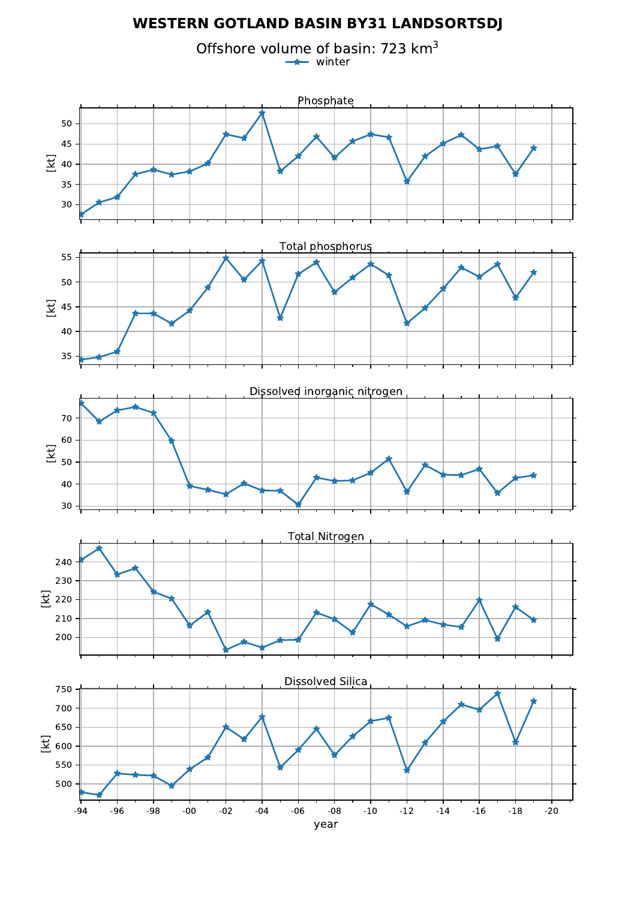# **WESTERN GOTLAND BASIN BY31 LANDSORTSDJ**

Offshore volume of basin: 723 km<sup>3</sup> winter

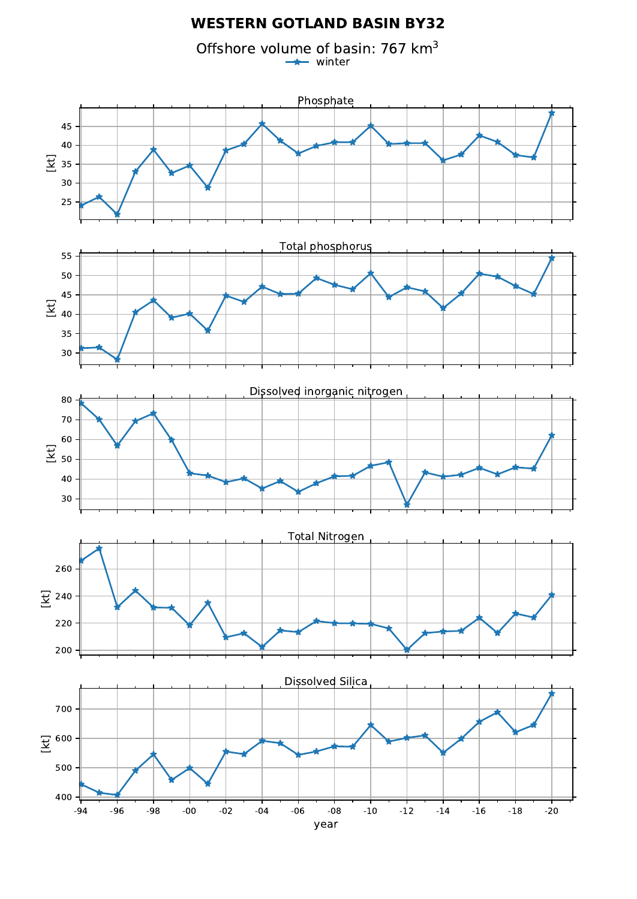# **WESTERN GOTLAND BASIN BY32**

Offshore volume of basin: 767 km<sup>3</sup> winter

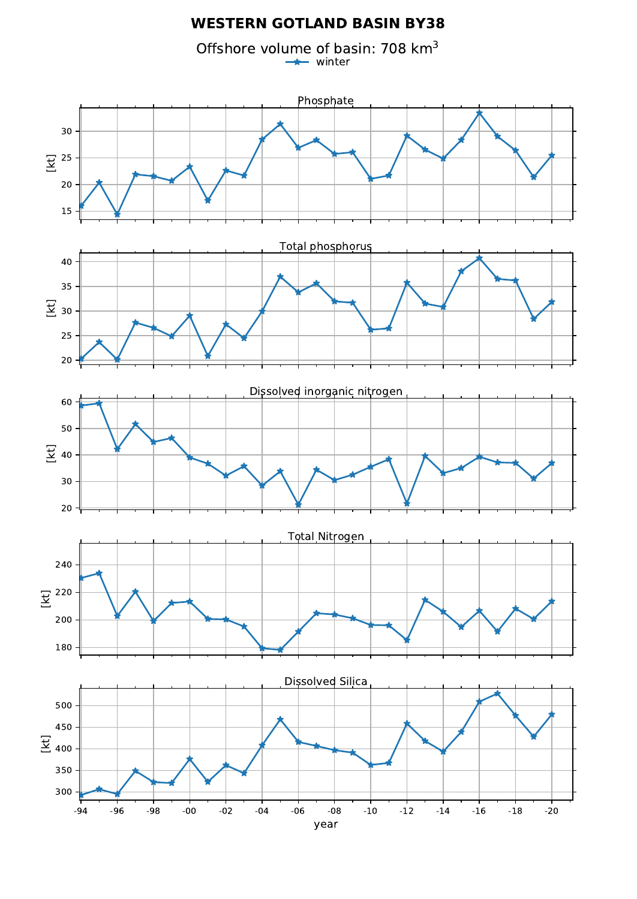## **WESTERN GOTLAND BASIN BY38**

Offshore volume of basin: 708 km<sup>3</sup> winter

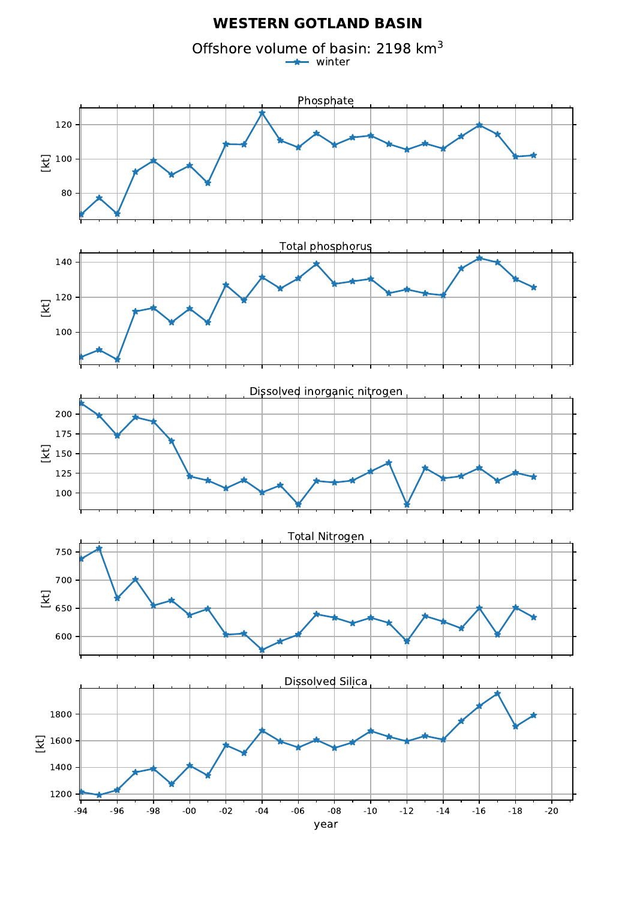#### **WESTERN GOTLAND BASIN**

Offshore volume of basin: 2198 km<sup>3</sup> winter

![](_page_14_Figure_2.jpeg)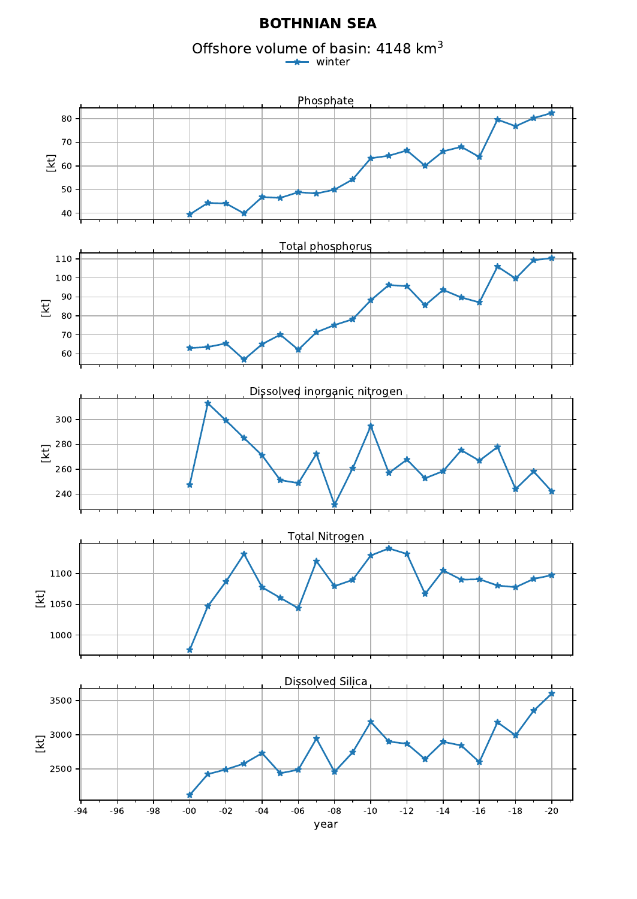#### **BOTHNIAN SEA**

Offshore volume of basin: 4148 km<sup>3</sup>

winter

![](_page_15_Figure_3.jpeg)